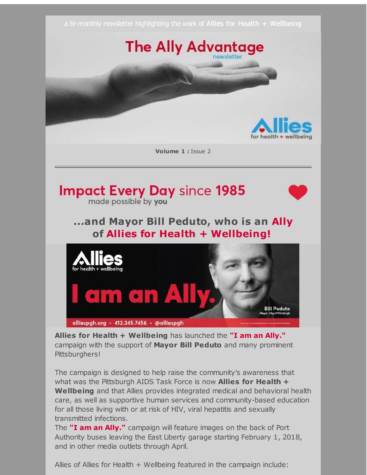

**Allies for Health + Wellbeing** has launched the **"I am an Ally."** campaign with the support of **Mayor Bill Peduto** and many prominent Pittsburghers!

The campaign is designed to help raise the community's awareness that what was the Pittsburgh AIDS Task Force is now **Allies for Health + Wellbeing** and that Allies provides integrated medical and behavioral health care, as well as supportive human services and community-based education for all those living with or at risk of HIV, viral hepatitis and sexually transmitted infections.

The **"I am an Ally."** campaign will feature images on the back of Port Authority buses leaving the East Liberty garage starting February 1, 2018, and in other media outlets through April.

Allies of Allies for Health + Wellbeing featured in the campaign include: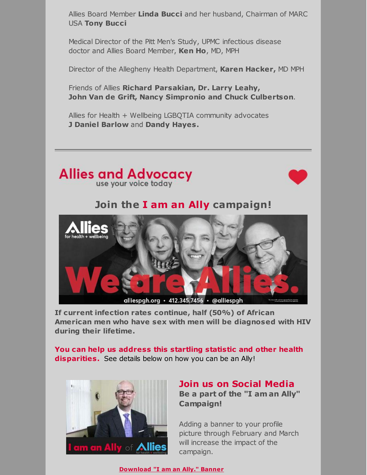Allies Board Member **Linda Bucci** and her husband, Chairman of MARC USA **Tony Bucci**

Medical Director of the Pitt Men's Study, UPMC infectious disease doctor and Allies Board Member, **Ken Ho**, MD, MPH

Director of the Allegheny Health Department, **Karen Hacker,** MD MPH

Friends of Allies **Richard Parsakian, Dr. Larry Leahy, John Van de Grift, Nancy Simpronio and Chuck Culbertson**.

Allies for Health + Wellbeing LGBQTIA community advocates **J Daniel Barlow** and **Dandy Hayes.**





## **Join the I am an Ally campaign!**



**If current infection rates continue, half (50%) of African American men who have sex with men will be diagnosed with HIV during their lifetime.**

**You can help us address this startling statistic and other health disparities.** See details below on how you can be an Ally!



### **Join us on Social Media**

**Be a part of the "I am an Ally" Campaign!**

Adding a banner to your profile picture through February and March will increase the impact of the campaign.

**[Download](http://r20.rs6.net/tn.jsp?f=001cIcpwvVYPAJFYMhXAADPtuo24svqtZcNSwsy_H4DU1sgF3WdkWQl8mobqAMfVbFrBTvZ2YVsNAWK1GiCPLdvTbjauHA6o2hfO9SVmmh8moe2YNDWYn2IJuc66a0HXTTKrQ2lIrhk9qzz1oxHezqy7wvXBX9eLD-H-k0veJKJ5-aI5McnJWGkdd2q7OSzyxT5ZBn2ypk1cu5HS_b8rrQZWAC4wCwoQD8AxkuFbpPcfDZk5UndYUOba39tweii9zRX&c=&ch=) "I am an Ally." Banner**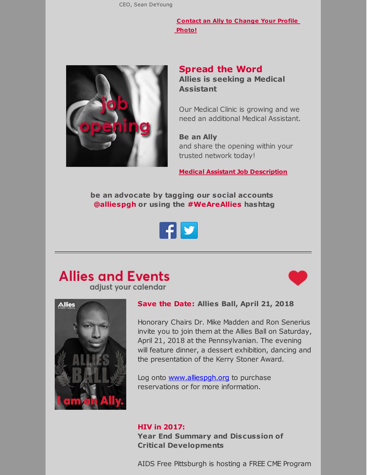CEO, Sean DeYoung

**[Contact](mailto:bmcgowan@alliespgh.org) an Ally to Change Your Profile Photo!**



#### **Spread the Word Allies is seeking a Medical Assistant**

Our Medical Clinic is growing and we need an additional Medical Assistant.

**Be an Ally** and share the opening within your trusted network today!

**Medical Assistant Job [Description](http://r20.rs6.net/tn.jsp?f=001cIcpwvVYPAJFYMhXAADPtuo24svqtZcNSwsy_H4DU1sgF3WdkWQl8jmUDNtISWkEWdwBRdvY5myX5KXyqQxT9bnD1BidR9_38Zo2JfniSdWfNr74ehQpWhO_cX9LxH1WJF82jdR_-t_NWm1DyK_W1oqqLIzKQh2JSOAD44f0G3aVpt0ncLMV8Y7ubLvYdW6XNTJEA1hs3Om046HV_B29BsILUZCgvVNfE1NfV-f1CDtryJcuKzVG-EEghOmVt9tF4zYRhKT305Qons5Cvpa60Sj2iuib_QQDY2V9SCpNsALoWxiFTGbOz9ByGK3lXgsztp9DyHp8Tmz7gJRP1Ffnn0ipTdnAWbvj&c=&ch=)**

**be an advocate by tagging our social accounts [@alliespgh](http://r20.rs6.net/tn.jsp?f=001cIcpwvVYPAJFYMhXAADPtuo24svqtZcNSwsy_H4DU1sgF3WdkWQl8pJ2N3Jnz2NrcGPt2Yk9qZDORJd4nLwhW6m94R-UbK1dD2wUTSfuAItvha8yTMQVlUL33lbdNsKjze6KqVlXKl7imC57JK2h4_XsBP3L0vKZLPEabtSGBxuSMUO6KMuBFxPVfty7fIWW&c=&ch=) or using the [#WeAreAllies](http://r20.rs6.net/tn.jsp?f=001cIcpwvVYPAJFYMhXAADPtuo24svqtZcNSwsy_H4DU1sgF3WdkWQl8pJ2N3Jnz2NrcGPt2Yk9qZDORJd4nLwhW6m94R-UbK1dD2wUTSfuAItvha8yTMQVlUL33lbdNsKjze6KqVlXKl7imC57JK2h4_XsBP3L0vKZLPEabtSGBxuSMUO6KMuBFxPVfty7fIWW&c=&ch=) hashtag**



## **Allies and Events** adjust your calendar





#### **Save the Date: Allies Ball, April 21, 2018**

Honorary Chairs Dr. Mike Madden and Ron Senerius invite you to join them at the Allies Ball on Saturday, April 21, 2018 at the Pennsylvanian. The evening will feature dinner, a dessert exhibition, dancing and the presentation of the Kerry Stoner Award.

Log onto [www.alliespgh.org](http://r20.rs6.net/tn.jsp?f=001cIcpwvVYPAJFYMhXAADPtuo24svqtZcNSwsy_H4DU1sgF3WdkWQl8pJ2N3Jnz2NrmiYtJF97B-FPYmueahYEdaZOwOhPdSSxBCwY0bZhcqaTjbcM1Sqyf8hduvA0Vr30oX6CAHLInbDHZTfYsai6rQZRwC1Qq4jaCQuIF5n5LH7Vdh7SwqmP8iioMK7Z1GU5np0dKmHiWE2bwrgGZfGz98MsnLL0Jq4pVCiVrNTcWtHq1yfCpKNR-XLZf6F6cHANhUanxJ11hDCjGZ7v0kKFux7Ox5xXhllhOrKQAAhv-X-3faWVvTFzbw==&c=&ch=) to purchase reservations or for more information.

#### **HIV in 2017:**

**Year End Summary and Discussion of Critical Developments**

AIDS Free Pittsburgh is hosting a FREE CME Program